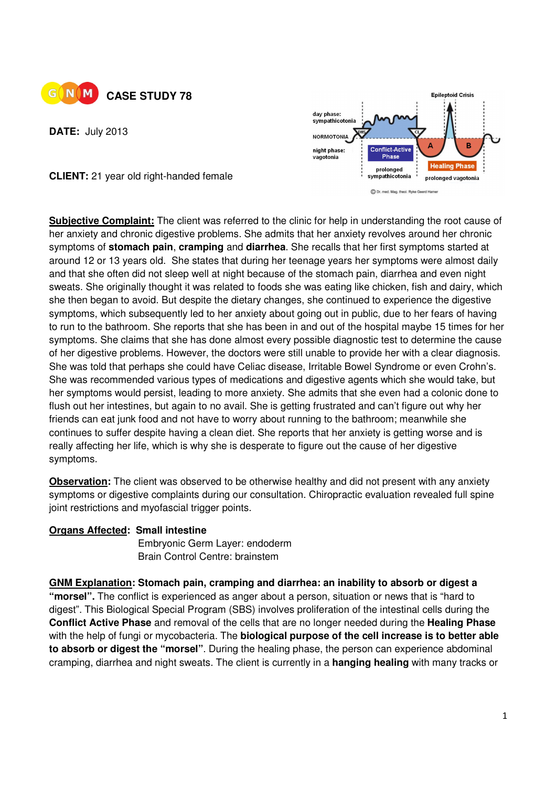

**DATE:** July 2013



**CLIENT:** 21 year old right-handed female

**Subjective Complaint:** The client was referred to the clinic for help in understanding the root cause of her anxiety and chronic digestive problems. She admits that her anxiety revolves around her chronic symptoms of **stomach pain**, **cramping** and **diarrhea**. She recalls that her first symptoms started at around 12 or 13 years old. She states that during her teenage years her symptoms were almost daily and that she often did not sleep well at night because of the stomach pain, diarrhea and even night sweats. She originally thought it was related to foods she was eating like chicken, fish and dairy, which she then began to avoid. But despite the dietary changes, she continued to experience the digestive symptoms, which subsequently led to her anxiety about going out in public, due to her fears of having to run to the bathroom. She reports that she has been in and out of the hospital maybe 15 times for her symptoms. She claims that she has done almost every possible diagnostic test to determine the cause of her digestive problems. However, the doctors were still unable to provide her with a clear diagnosis. She was told that perhaps she could have Celiac disease, Irritable Bowel Syndrome or even Crohn's. She was recommended various types of medications and digestive agents which she would take, but her symptoms would persist, leading to more anxiety. She admits that she even had a colonic done to flush out her intestines, but again to no avail. She is getting frustrated and can't figure out why her friends can eat junk food and not have to worry about running to the bathroom; meanwhile she continues to suffer despite having a clean diet. She reports that her anxiety is getting worse and is really affecting her life, which is why she is desperate to figure out the cause of her digestive symptoms.

**Observation:** The client was observed to be otherwise healthy and did not present with any anxiety symptoms or digestive complaints during our consultation. Chiropractic evaluation revealed full spine joint restrictions and myofascial trigger points.

## **Organs Affected: Small intestine**

Embryonic Germ Layer: endoderm Brain Control Centre: brainstem

## **GNM Explanation: Stomach pain, cramping and diarrhea: an inability to absorb or digest a**

**"morsel".** The conflict is experienced as anger about a person, situation or news that is "hard to digest". This Biological Special Program (SBS) involves proliferation of the intestinal cells during the **Conflict Active Phase** and removal of the cells that are no longer needed during the **Healing Phase**  with the help of fungi or mycobacteria. The **biological purpose of the cell increase is to better able to absorb or digest the "morsel"**. During the healing phase, the person can experience abdominal cramping, diarrhea and night sweats. The client is currently in a **hanging healing** with many tracks or